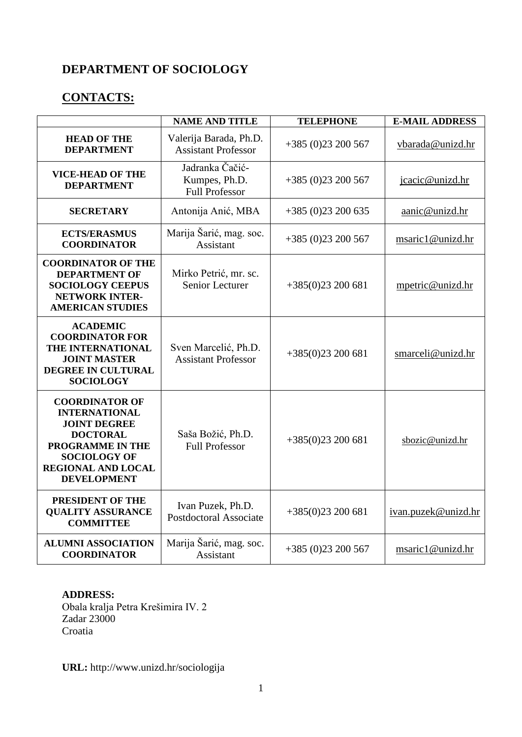### **DEPARTMENT OF SOCIOLOGY**

# **CONTACTS:**

|                                                                                                                                                                                              | <b>NAME AND TITLE</b>                                     | <b>TELEPHONE</b>  | <b>E-MAIL ADDRESS</b> |
|----------------------------------------------------------------------------------------------------------------------------------------------------------------------------------------------|-----------------------------------------------------------|-------------------|-----------------------|
| <b>HEAD OF THE</b><br><b>DEPARTMENT</b>                                                                                                                                                      | Valerija Barada, Ph.D.<br><b>Assistant Professor</b>      | $+385(0)23200567$ | vbarada@unizd.hr      |
| <b>VICE-HEAD OF THE</b><br><b>DEPARTMENT</b>                                                                                                                                                 | Jadranka Čačić-<br>Kumpes, Ph.D.<br><b>Full Professor</b> | $+385(0)23200567$ | jcacic@unizd.hr       |
| <b>SECRETARY</b>                                                                                                                                                                             | Antonija Anić, MBA                                        | $+385(0)23200635$ | aanic@unizd.hr        |
| <b>ECTS/ERASMUS</b><br><b>COORDINATOR</b>                                                                                                                                                    | Marija Šarić, mag. soc.<br>Assistant                      | $+385(0)23200567$ | msaric1@unizd.hr      |
| <b>COORDINATOR OF THE</b><br><b>DEPARTMENT OF</b><br><b>SOCIOLOGY CEEPUS</b><br><b>NETWORK INTER-</b><br><b>AMERICAN STUDIES</b>                                                             | Mirko Petrić, mr. sc.<br>Senior Lecturer                  | $+385(0)23200681$ | mpetric@unizd.hr      |
| <b>ACADEMIC</b><br><b>COORDINATOR FOR</b><br>THE INTERNATIONAL<br><b>JOINT MASTER</b><br>DEGREE IN CULTURAL<br><b>SOCIOLOGY</b>                                                              | Sven Marcelić, Ph.D.<br><b>Assistant Professor</b>        | $+385(0)23200681$ | smarceli@unizd.hr     |
| <b>COORDINATOR OF</b><br><b>INTERNATIONAL</b><br><b>JOINT DEGREE</b><br><b>DOCTORAL</b><br><b>PROGRAMME IN THE</b><br><b>SOCIOLOGY OF</b><br><b>REGIONAL AND LOCAL</b><br><b>DEVELOPMENT</b> | Saša Božić, Ph.D.<br><b>Full Professor</b>                | $+385(0)23200681$ | sbozic@unizd.hr       |
| PRESIDENT OF THE<br><b>QUALITY ASSURANCE</b><br><b>COMMITTEE</b>                                                                                                                             | Ivan Puzek, Ph.D.<br><b>Postdoctoral Associate</b>        | $+385(0)23200681$ | ivan.puzek@unizd.hr   |
| <b>ALUMNI ASSOCIATION</b><br><b>COORDINATOR</b>                                                                                                                                              | Marija Šarić, mag. soc.<br><b>Assistant</b>               | $+385(0)23200567$ | msaric1@unizd.hr      |

#### **ADDRESS:**

Obala kralja Petra Krešimira IV. 2 Zadar 23000 Croatia

**URL:** <http://www.unizd.hr/sociologija>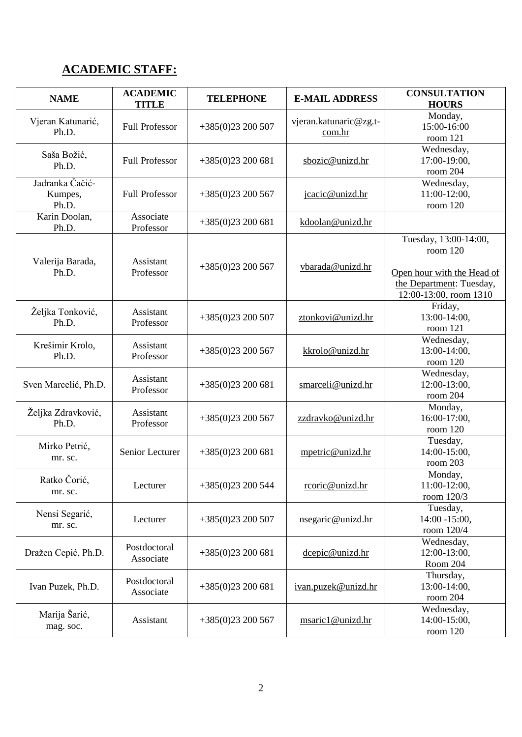# **ACADEMIC STAFF:**

| <b>NAME</b>                         | <b>ACADEMIC</b><br><b>TITLE</b> | <b>TELEPHONE</b>  | <b>E-MAIL ADDRESS</b>            | <b>CONSULTATION</b><br><b>HOURS</b>                                                                                   |
|-------------------------------------|---------------------------------|-------------------|----------------------------------|-----------------------------------------------------------------------------------------------------------------------|
| Vjeran Katunarić,<br>Ph.D.          | <b>Full Professor</b>           | $+385(0)23200507$ | vjeran.katunaric@zg.t-<br>com.hr | Monday,<br>15:00-16:00<br>room 121                                                                                    |
| Saša Božić,<br>Ph.D.                | <b>Full Professor</b>           | $+385(0)23200681$ | sbozic@unizd.hr                  | Wednesday,<br>17:00-19:00,<br>room 204                                                                                |
| Jadranka Čačić-<br>Kumpes,<br>Ph.D. | <b>Full Professor</b>           | $+385(0)23200567$ | jcacic@unizd.hr                  | Wednesday,<br>11:00-12:00,<br>room 120                                                                                |
| Karin Doolan,<br>Ph.D.              | Associate<br>Professor          | $+385(0)23200681$ | kdoolan@unizd.hr                 |                                                                                                                       |
| Valerija Barada,<br>Ph.D.           | Assistant<br>Professor          | $+385(0)23200567$ | vbarada@unizd.hr                 | Tuesday, 13:00-14:00,<br>room 120<br>Open hour with the Head of<br>the Department: Tuesday,<br>12:00-13:00, room 1310 |
| Željka Tonković,<br>Ph.D.           | Assistant<br>Professor          | $+385(0)23200507$ | ztonkovi@unizd.hr                | Friday,<br>13:00-14:00,<br>room 121                                                                                   |
| Krešimir Krolo,<br>Ph.D.            | Assistant<br>Professor          | $+385(0)23200567$ | kkrolo@unizd.hr                  | Wednesday,<br>13:00-14:00,<br>room 120                                                                                |
| Sven Marcelić, Ph.D.                | Assistant<br>Professor          | $+385(0)23200681$ | smarceli@unizd.hr                | Wednesday,<br>12:00-13:00,<br>room 204                                                                                |
| Željka Zdravković,<br>Ph.D.         | Assistant<br>Professor          | $+385(0)23200567$ | zzdravko@unizd.hr                | Monday,<br>16:00-17:00,<br>room 120                                                                                   |
| Mirko Petrić,<br>mr. sc.            | Senior Lecturer                 | $+385(0)23200681$ | mpetric@unizd.hr                 | Tuesday,<br>14:00-15:00,<br>room 203                                                                                  |
| Ratko Čorić,<br>mr. sc.             | Lecturer                        | $+385(0)23200544$ | rcoric@unizd.hr                  | Monday,<br>$11:00-12:00$ ,<br>room 120/3                                                                              |
| Nensi Segarić,<br>mr. sc.           | Lecturer                        | $+385(0)23200507$ | nsegaric@unizd.hr                | Tuesday,<br>14:00 -15:00,<br>room 120/4                                                                               |
| Dražen Cepić, Ph.D.                 | Postdoctoral<br>Associate       | $+385(0)23200681$ | dcepic@unizd.hr                  | Wednesday,<br>12:00-13:00,<br>Room 204                                                                                |
| Ivan Puzek, Ph.D.                   | Postdoctoral<br>Associate       | $+385(0)23200681$ | ivan.puzek@unizd.hr              | Thursday,<br>13:00-14:00,<br>room 204                                                                                 |
| Marija Šarić,<br>mag. soc.          | Assistant                       | $+385(0)23200567$ | msaric1@unizd.hr                 | Wednesday,<br>14:00-15:00,<br>room 120                                                                                |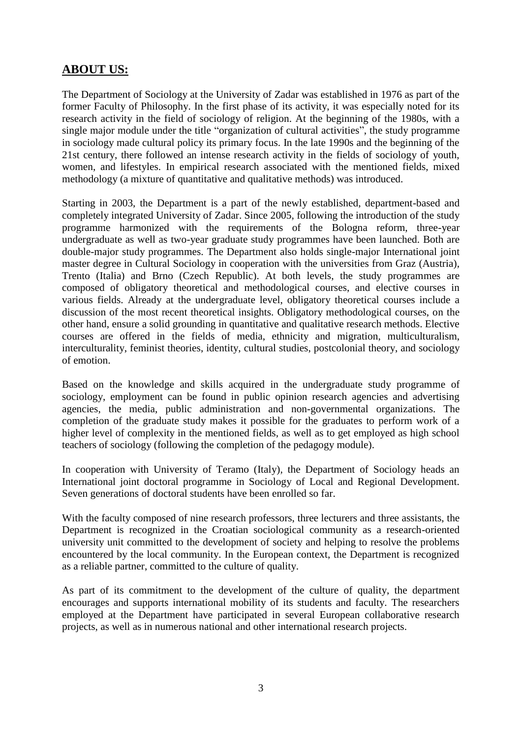### **ABOUT US:**

The Department of Sociology at the University of Zadar was established in 1976 as part of the former Faculty of Philosophy. In the first phase of its activity, it was especially noted for its research activity in the field of sociology of religion. At the beginning of the 1980s, with a single major module under the title "organization of cultural activities", the study programme in sociology made cultural policy its primary focus. In the late 1990s and the beginning of the 21st century, there followed an intense research activity in the fields of sociology of youth, women, and lifestyles. In empirical research associated with the mentioned fields, mixed methodology (a mixture of quantitative and qualitative methods) was introduced.

Starting in 2003, the Department is a part of the newly established, department-based and completely integrated University of Zadar. Since 2005, following the introduction of the study programme harmonized with the requirements of the Bologna reform, three-year undergraduate as well as two-year graduate study programmes have been launched. Both are double-major study programmes. The Department also holds single-major International joint master degree in Cultural Sociology in cooperation with the universities from Graz (Austria), Trento (Italia) and Brno (Czech Republic). At both levels, the study programmes are composed of obligatory theoretical and methodological courses, and elective courses in various fields. Already at the undergraduate level, obligatory theoretical courses include a discussion of the most recent theoretical insights. Obligatory methodological courses, on the other hand, ensure a solid grounding in quantitative and qualitative research methods. Elective courses are offered in the fields of media, ethnicity and migration, multiculturalism, interculturality, feminist theories, identity, cultural studies, postcolonial theory, and sociology of emotion.

Based on the knowledge and skills acquired in the undergraduate study programme of sociology, employment can be found in public opinion research agencies and advertising agencies, the media, public administration and non-governmental organizations. The completion of the graduate study makes it possible for the graduates to perform work of a higher level of complexity in the mentioned fields, as well as to get employed as high school teachers of sociology (following the completion of the pedagogy module).

In cooperation with University of Teramo (Italy), the Department of Sociology heads an International joint doctoral programme in Sociology of Local and Regional Development. Seven generations of doctoral students have been enrolled so far.

With the faculty composed of nine research professors, three lecturers and three assistants, the Department is recognized in the Croatian sociological community as a research-oriented university unit committed to the development of society and helping to resolve the problems encountered by the local community. In the European context, the Department is recognized as a reliable partner, committed to the culture of quality.

As part of its commitment to the development of the culture of quality, the department encourages and supports international mobility of its students and faculty. The researchers employed at the Department have participated in several European collaborative research projects, as well as in numerous national and other international research projects.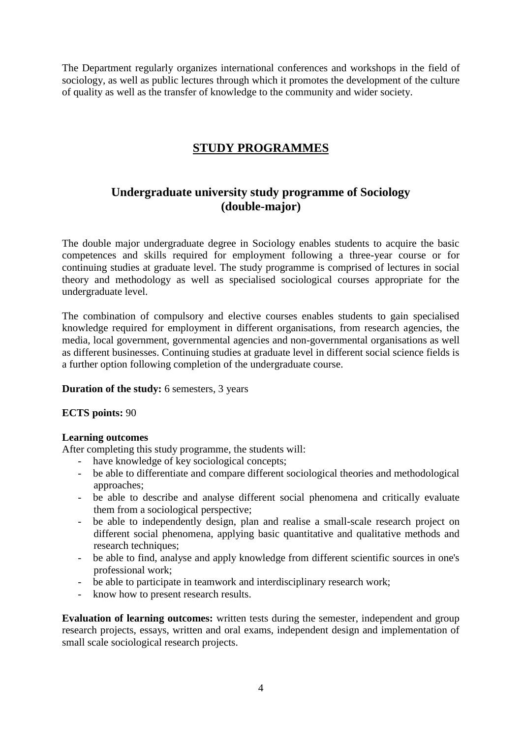The Department regularly organizes international conferences and workshops in the field of sociology, as well as public lectures through which it promotes the development of the culture of quality as well as the transfer of knowledge to the community and wider society.

### **STUDY PROGRAMMES**

### **Undergraduate university study programme of Sociology (double-major)**

The double major undergraduate degree in Sociology enables students to acquire the basic competences and skills required for employment following a three-year course or for continuing studies at graduate level. The study programme is comprised of lectures in social theory and methodology as well as specialised sociological courses appropriate for the undergraduate level.

The combination of compulsory and elective courses enables students to gain specialised knowledge required for employment in different organisations, from research agencies, the media, local government, governmental agencies and non-governmental organisations as well as different businesses. Continuing studies at graduate level in different social science fields is a further option following completion of the undergraduate course.

#### **Duration of the study:** 6 semesters, 3 years

#### **ECTS points:** 90

#### **Learning outcomes**

After completing this study programme, the students will:

- have knowledge of key sociological concepts;
- be able to differentiate and compare different sociological theories and methodological approaches;
- be able to describe and analyse different social phenomena and critically evaluate them from a sociological perspective;
- be able to independently design, plan and realise a small-scale research project on different social phenomena, applying basic quantitative and qualitative methods and research techniques;
- be able to find, analyse and apply knowledge from different scientific sources in one's professional work;
- be able to participate in teamwork and interdisciplinary research work;
- know how to present research results.

**Evaluation of learning outcomes:** written tests during the semester, independent and group research projects, essays, written and oral exams, independent design and implementation of small scale sociological research projects.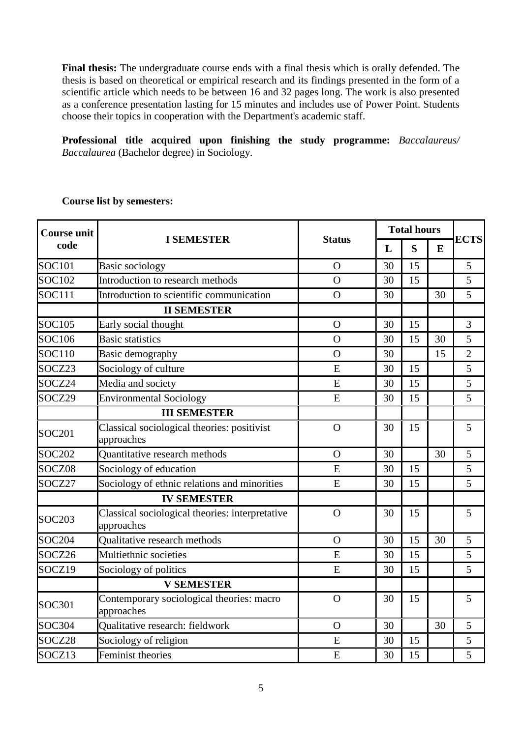**Final thesis:** The undergraduate course ends with a final thesis which is orally defended. The thesis is based on theoretical or empirical research and its findings presented in the form of a scientific article which needs to be between 16 and 32 pages long. The work is also presented as a conference presentation lasting for 15 minutes and includes use of Power Point. Students choose their topics in cooperation with the Department's academic staff.

**Professional title acquired upon finishing the study programme:** *Baccalaureus/ Baccalaurea* (Bachelor degree) in Sociology.

| <b>Course unit</b><br>code | <b>I SEMESTER</b>                                             | <b>Status</b>  |    | <b>Total hours</b> |    |                |
|----------------------------|---------------------------------------------------------------|----------------|----|--------------------|----|----------------|
|                            |                                                               |                | L  | S                  | E  | <b>ECTS</b>    |
| <b>SOC101</b>              | Basic sociology                                               | $\mathbf{O}$   | 30 | 15                 |    | 5              |
| <b>SOC102</b>              | Introduction to research methods                              | $\overline{O}$ | 30 | 15                 |    | 5              |
| <b>SOC111</b>              | Introduction to scientific communication                      | $\Omega$       | 30 |                    | 30 | 5              |
|                            | <b>II SEMESTER</b>                                            |                |    |                    |    |                |
| SOC105                     | Early social thought                                          | $\Omega$       | 30 | 15                 |    | 3              |
| SOC106                     | <b>Basic statistics</b>                                       | $\overline{O}$ | 30 | 15                 | 30 | 5              |
| SOC110                     | Basic demography                                              | $\overline{O}$ | 30 |                    | 15 | $\overline{2}$ |
| SOCZ23                     | Sociology of culture                                          | $\overline{E}$ | 30 | 15                 |    | 5              |
| SOCZ24                     | Media and society                                             | E              | 30 | 15                 |    | 5              |
| SOCZ29                     | <b>Environmental Sociology</b>                                | E              | 30 | 15                 |    | 5              |
|                            | <b>III SEMESTER</b>                                           |                |    |                    |    |                |
| SOC201                     | Classical sociological theories: positivist<br>approaches     | $\Omega$       | 30 | 15                 |    | 5              |
| <b>SOC202</b>              | Quantitative research methods                                 | $\Omega$       | 30 |                    | 30 | 5              |
| SOCZ08                     | Sociology of education                                        | E              | 30 | 15                 |    | 5              |
| SOCZ27                     | Sociology of ethnic relations and minorities                  | E              | 30 | 15                 |    | 5              |
|                            | <b>IV SEMESTER</b>                                            |                |    |                    |    |                |
| <b>SOC203</b>              | Classical sociological theories: interpretative<br>approaches | $\overline{O}$ | 30 | 15                 |    | 5              |
| <b>SOC204</b>              | Qualitative research methods                                  | $\Omega$       | 30 | 15                 | 30 | 5              |
| SOCZ26                     | Multiethnic societies                                         | E              | 30 | 15                 |    | 5              |
| SOCZ19                     | Sociology of politics                                         | E              | 30 | 15                 |    | 5              |
|                            | <b>V SEMESTER</b>                                             |                |    |                    |    |                |
| SOC301                     | Contemporary sociological theories: macro<br>approaches       | $\Omega$       | 30 | 15                 |    | 5              |
| <b>SOC304</b>              | Qualitative research: fieldwork                               | $\Omega$       | 30 |                    | 30 | 5              |
| SOCZ28                     | Sociology of religion                                         | E              | 30 | 15                 |    | 5              |
| SOCZ13                     | Feminist theories                                             | E              | 30 | 15                 |    | 5              |

#### **Course list by semesters:**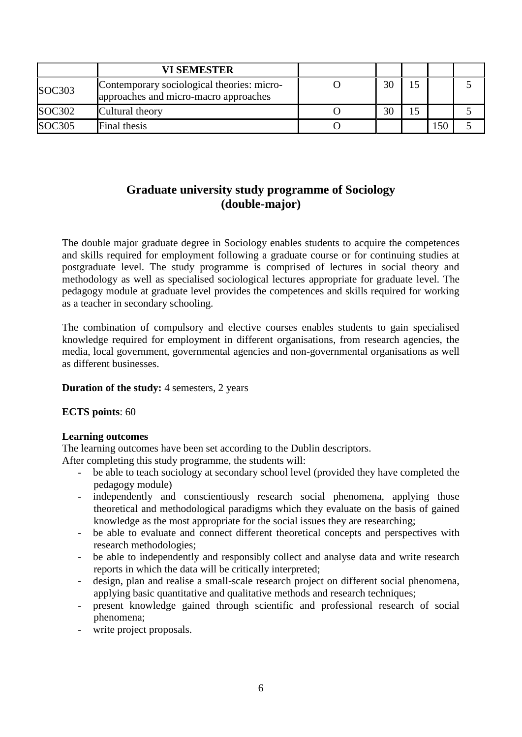|                    | <b>VI SEMESTER</b>                                                                  |    |  |  |
|--------------------|-------------------------------------------------------------------------------------|----|--|--|
| SOC303             | Contemporary sociological theories: micro-<br>approaches and micro-macro approaches | 30 |  |  |
| SOC302             | Cultural theory                                                                     | 30 |  |  |
| SOC <sub>305</sub> | Final thesis                                                                        |    |  |  |

### **Graduate university study programme of Sociology (double-major)**

The double major graduate degree in Sociology enables students to acquire the competences and skills required for employment following a graduate course or for continuing studies at postgraduate level. The study programme is comprised of lectures in social theory and methodology as well as specialised sociological lectures appropriate for graduate level. The pedagogy module at graduate level provides the competences and skills required for working as a teacher in secondary schooling.

The combination of compulsory and elective courses enables students to gain specialised knowledge required for employment in different organisations, from research agencies, the media, local government, governmental agencies and non-governmental organisations as well as different businesses.

#### **Duration of the study:** 4 semesters, 2 years

#### **ECTS points**: 60

#### **Learning outcomes**

The learning outcomes have been set according to the Dublin descriptors.

After completing this study programme, the students will:

- be able to teach sociology at secondary school level (provided they have completed the pedagogy module)
- independently and conscientiously research social phenomena, applying those theoretical and methodological paradigms which they evaluate on the basis of gained knowledge as the most appropriate for the social issues they are researching;
- be able to evaluate and connect different theoretical concepts and perspectives with research methodologies;
- be able to independently and responsibly collect and analyse data and write research reports in which the data will be critically interpreted;
- design, plan and realise a small-scale research project on different social phenomena, applying basic quantitative and qualitative methods and research techniques;
- present knowledge gained through scientific and professional research of social phenomena;
- write project proposals.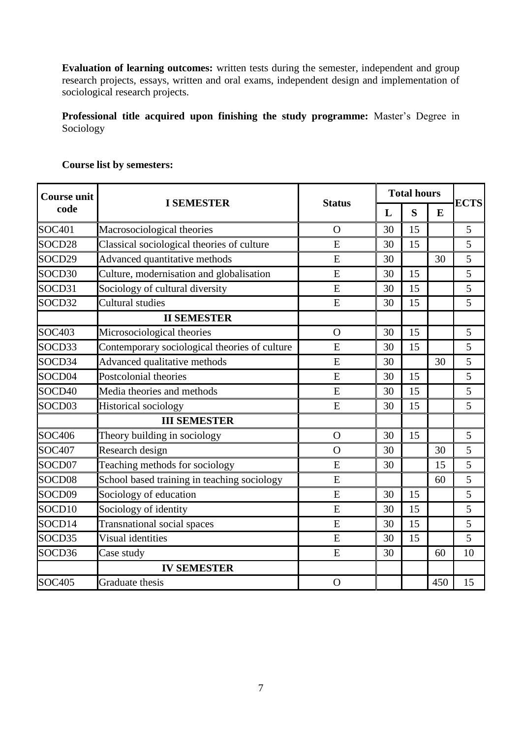**Evaluation of learning outcomes:** written tests during the semester, independent and group research projects, essays, written and oral exams, independent design and implementation of sociological research projects.

**Professional title acquired upon finishing the study programme:** Master's Degree in Sociology

| <b>Course unit</b> |                                               | <b>Status</b> | <b>Total hours</b> |    |     | <b>ECTS</b> |
|--------------------|-----------------------------------------------|---------------|--------------------|----|-----|-------------|
| code               | <b>I SEMESTER</b>                             |               | L                  | S  | E   |             |
| <b>SOC401</b>      | Macrosociological theories                    | $\Omega$      | 30                 | 15 |     | 5           |
| SOCD28             | Classical sociological theories of culture    | E             | 30                 | 15 |     | 5           |
| SOCD29             | Advanced quantitative methods                 | E             | 30                 |    | 30  | 5           |
| SOCD30             | Culture, modernisation and globalisation      | E             | 30                 | 15 |     | 5           |
| SOCD31             | Sociology of cultural diversity               | E             | 30                 | 15 |     | 5           |
| SOCD32             | <b>Cultural studies</b>                       | E             | 30                 | 15 |     | 5           |
|                    | <b>II SEMESTER</b>                            |               |                    |    |     |             |
| <b>SOC403</b>      | Microsociological theories                    | $\Omega$      | 30                 | 15 |     | 5           |
| SOCD33             | Contemporary sociological theories of culture | E             | 30                 | 15 |     | 5           |
| SOCD34             | Advanced qualitative methods                  | E             | 30                 |    | 30  | 5           |
| SOCD <sub>04</sub> | Postcolonial theories                         | E             | 30                 | 15 |     | 5           |
| SOCD40             | Media theories and methods                    | E             | 30                 | 15 |     | 5           |
| SOCD03             | Historical sociology                          | E             | 30                 | 15 |     | 5           |
|                    | <b>III SEMESTER</b>                           |               |                    |    |     |             |
| <b>SOC406</b>      | Theory building in sociology                  | $\Omega$      | 30                 | 15 |     | 5           |
| <b>SOC407</b>      | Research design                               | $\Omega$      | 30                 |    | 30  | 5           |
| SOCD07             | Teaching methods for sociology                | E             | 30                 |    | 15  | 5           |
| SOCD08             | School based training in teaching sociology   | E             |                    |    | 60  | 5           |
| SOCD09             | Sociology of education                        | E             | 30                 | 15 |     | 5           |
| SOCD10             | Sociology of identity                         | E             | 30                 | 15 |     | 5           |
| SOCD14             | <b>Transnational social spaces</b>            | E             | 30                 | 15 |     | 5           |
| SOCD35             | Visual identities                             | E             | 30                 | 15 |     | 5           |
| SOCD36             | Case study                                    | E             | 30                 |    | 60  | 10          |
|                    | <b>IV SEMESTER</b>                            |               |                    |    |     |             |
| <b>SOC405</b>      | Graduate thesis                               | $\mathbf O$   |                    |    | 450 | 15          |

# **Course list by semesters:**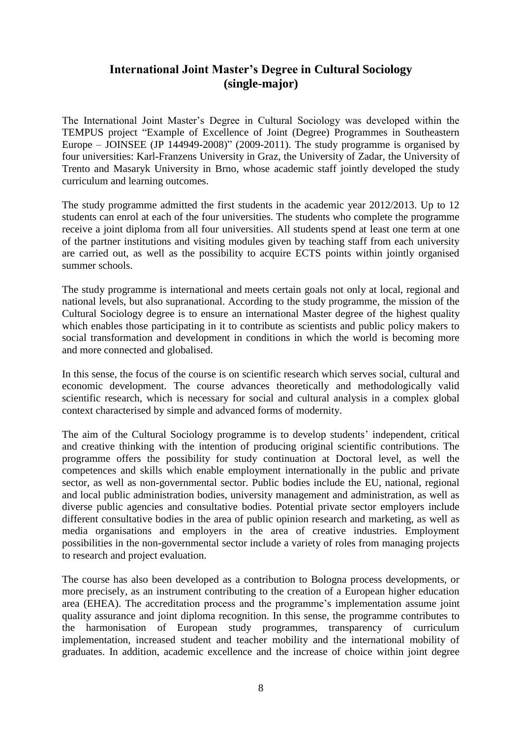### **International Joint Master's Degree in Cultural Sociology (single-major)**

The International Joint Master's Degree in Cultural Sociology was developed within the TEMPUS project "Example of Excellence of Joint (Degree) Programmes in Southeastern Europe – JOINSEE (JP 144949-2008)" (2009-2011). The study programme is organised by four universities: Karl-Franzens University in Graz, the University of Zadar, the University of Trento and Masaryk University in Brno, whose academic staff jointly developed the study curriculum and learning outcomes.

The study programme admitted the first students in the academic year 2012/2013. Up to 12 students can enrol at each of the four universities. The students who complete the programme receive a joint diploma from all four universities. All students spend at least one term at one of the partner institutions and visiting modules given by teaching staff from each university are carried out, as well as the possibility to acquire ECTS points within jointly organised summer schools.

The study programme is international and meets certain goals not only at local, regional and national levels, but also supranational. According to the study programme, the mission of the Cultural Sociology degree is to ensure an international Master degree of the highest quality which enables those participating in it to contribute as scientists and public policy makers to social transformation and development in conditions in which the world is becoming more and more connected and globalised.

In this sense, the focus of the course is on scientific research which serves social, cultural and economic development. The course advances theoretically and methodologically valid scientific research, which is necessary for social and cultural analysis in a complex global context characterised by simple and advanced forms of modernity.

The aim of the Cultural Sociology programme is to develop students' independent, critical and creative thinking with the intention of producing original scientific contributions. The programme offers the possibility for study continuation at Doctoral level, as well the competences and skills which enable employment internationally in the public and private sector, as well as non-governmental sector. Public bodies include the EU, national, regional and local public administration bodies, university management and administration, as well as diverse public agencies and consultative bodies. Potential private sector employers include different consultative bodies in the area of public opinion research and marketing, as well as media organisations and employers in the area of creative industries. Employment possibilities in the non-governmental sector include a variety of roles from managing projects to research and project evaluation.

The course has also been developed as a contribution to Bologna process developments, or more precisely, as an instrument contributing to the creation of a European higher education area (EHEA). The accreditation process and the programme's implementation assume joint quality assurance and joint diploma recognition. In this sense, the programme contributes to the harmonisation of European study programmes, transparency of curriculum implementation, increased student and teacher mobility and the international mobility of graduates. In addition, academic excellence and the increase of choice within joint degree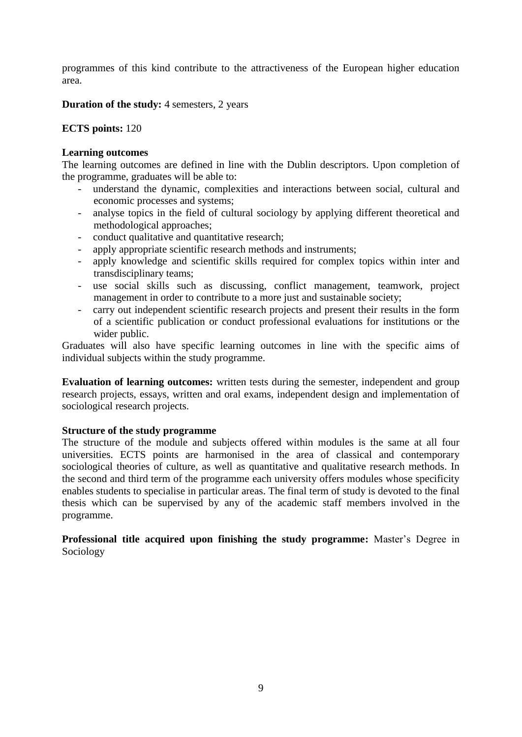programmes of this kind contribute to the attractiveness of the European higher education area.

**Duration of the study:** 4 semesters, 2 years

#### **ECTS points:** 120

#### **Learning outcomes**

The learning outcomes are defined in line with the Dublin descriptors. Upon completion of the programme, graduates will be able to:

- understand the dynamic, complexities and interactions between social, cultural and economic processes and systems;
- analyse topics in the field of cultural sociology by applying different theoretical and methodological approaches;
- conduct qualitative and quantitative research;
- apply appropriate scientific research methods and instruments;
- apply knowledge and scientific skills required for complex topics within inter and transdisciplinary teams;
- use social skills such as discussing, conflict management, teamwork, project management in order to contribute to a more just and sustainable society;
- carry out independent scientific research projects and present their results in the form of a scientific publication or conduct professional evaluations for institutions or the wider public.

Graduates will also have specific learning outcomes in line with the specific aims of individual subjects within the study programme.

**Evaluation of learning outcomes:** written tests during the semester, independent and group research projects, essays, written and oral exams, independent design and implementation of sociological research projects.

#### **Structure of the study programme**

The structure of the module and subjects offered within modules is the same at all four universities. ECTS points are harmonised in the area of classical and contemporary sociological theories of culture, as well as quantitative and qualitative research methods. In the second and third term of the programme each university offers modules whose specificity enables students to specialise in particular areas. The final term of study is devoted to the final thesis which can be supervised by any of the academic staff members involved in the programme.

**Professional title acquired upon finishing the study programme:** Master's Degree in Sociology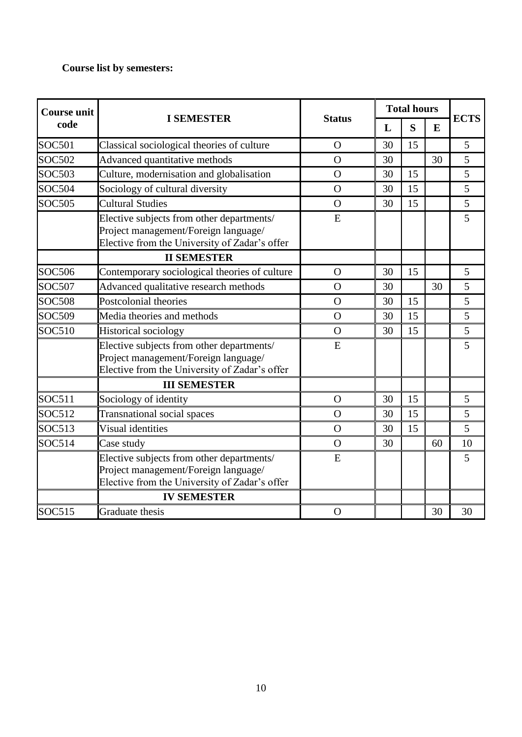# **Course list by semesters:**

| <b>Course unit</b> | <b>Status</b><br><b>I SEMESTER</b><br>code                                                                                         |                | <b>Total hours</b> |    |    | <b>ECTS</b> |
|--------------------|------------------------------------------------------------------------------------------------------------------------------------|----------------|--------------------|----|----|-------------|
|                    |                                                                                                                                    |                | L                  | S  | E  |             |
| <b>SOC501</b>      | Classical sociological theories of culture                                                                                         | $\Omega$       | 30                 | 15 |    | 5           |
| <b>SOC502</b>      | Advanced quantitative methods                                                                                                      | $\Omega$       | 30                 |    | 30 | 5           |
| <b>SOC503</b>      | Culture, modernisation and globalisation                                                                                           | $\Omega$       | 30                 | 15 |    | 5           |
| <b>SOC504</b>      | Sociology of cultural diversity                                                                                                    | $\Omega$       | 30                 | 15 |    | 5           |
| <b>SOC505</b>      | <b>Cultural Studies</b>                                                                                                            | $\Omega$       | 30                 | 15 |    | 5           |
|                    | Elective subjects from other departments/<br>Project management/Foreign language/<br>Elective from the University of Zadar's offer | E              |                    |    |    | 5           |
|                    | <b>II SEMESTER</b>                                                                                                                 |                |                    |    |    |             |
| <b>SOC506</b>      | Contemporary sociological theories of culture                                                                                      | $\Omega$       | 30                 | 15 |    | 5           |
| <b>SOC507</b>      | Advanced qualitative research methods                                                                                              | $\Omega$       | 30                 |    | 30 | 5           |
| <b>SOC508</b>      | Postcolonial theories                                                                                                              | $\Omega$       | 30                 | 15 |    | 5           |
| <b>SOC509</b>      | Media theories and methods                                                                                                         | $\Omega$       | 30                 | 15 |    | 5           |
| <b>SOC510</b>      | Historical sociology                                                                                                               | $\Omega$       | 30                 | 15 |    | 5           |
|                    | Elective subjects from other departments/<br>Project management/Foreign language/<br>Elective from the University of Zadar's offer | E              |                    |    |    | 5           |
|                    | <b>III SEMESTER</b>                                                                                                                |                |                    |    |    |             |
| SOC511             | Sociology of identity                                                                                                              | $\Omega$       | 30                 | 15 |    | 5           |
| <b>SOC512</b>      | <b>Transnational social spaces</b>                                                                                                 | $\Omega$       | 30                 | 15 |    | 5           |
| SOC513             | Visual identities                                                                                                                  | $\overline{O}$ | 30                 | 15 |    | 5           |
| SOC514             | Case study                                                                                                                         | $\Omega$       | 30                 |    | 60 | 10          |
|                    | Elective subjects from other departments/<br>Project management/Foreign language/<br>Elective from the University of Zadar's offer | E              |                    |    |    | 5           |
|                    | <b>IV SEMESTER</b>                                                                                                                 |                |                    |    |    |             |
| <b>SOC515</b>      | Graduate thesis                                                                                                                    | $\overline{O}$ |                    |    | 30 | 30          |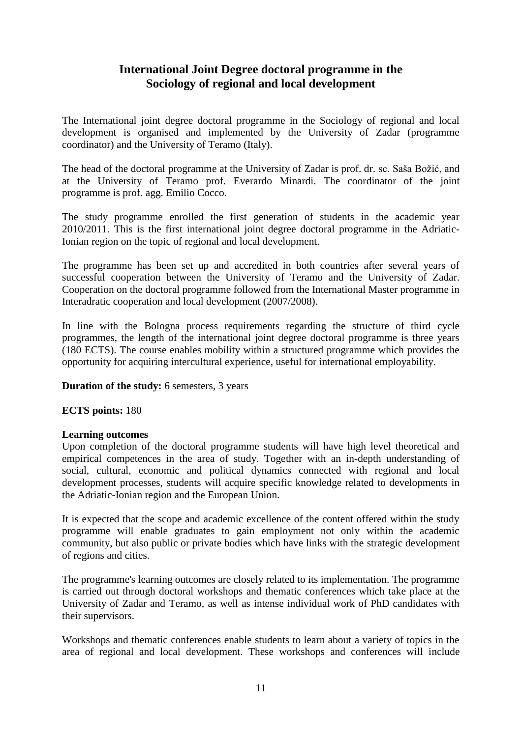### **International Joint Degree doctoral programme in the Sociology of regional and local development**

The International joint degree doctoral programme in the Sociology of regional and local development is organised and implemented by the University of Zadar (programme coordinator) and the University of Teramo (Italy).

The head of the doctoral programme at the University of Zadar is prof. dr. sc. Saša Božić, and at the University of Teramo prof. Everardo Minardi. The coordinator of the joint programme is prof. agg. Emilio Cocco.

The study programme enrolled the first generation of students in the academic year 2010/2011. This is the first international joint degree doctoral programme in the Adriatic-Ionian region on the topic of regional and local development.

The programme has been set up and accredited in both countries after several years of successful cooperation between the University of Teramo and the University of Zadar. Cooperation on the doctoral programme followed from the International Master programme in Interadratic cooperation and local development (2007/2008).

In line with the Bologna process requirements regarding the structure of third cycle programmes, the length of the international joint degree doctoral programme is three years (180 ECTS). The course enables mobility within a structured programme which provides the opportunity for acquiring intercultural experience, useful for international employability.

**Duration of the study:** 6 semesters, 3 years

#### **ECTS points:** 180

#### **Learning outcomes**

Upon completion of the doctoral programme students will have high level theoretical and empirical competences in the area of study. Together with an in-depth understanding of social, cultural, economic and political dynamics connected with regional and local development processes, students will acquire specific knowledge related to developments in the Adriatic-Ionian region and the European Union.

It is expected that the scope and academic excellence of the content offered within the study programme will enable graduates to gain employment not only within the academic community, but also public or private bodies which have links with the strategic development of regions and cities.

The programme's learning outcomes are closely related to its implementation. The programme is carried out through doctoral workshops and thematic conferences which take place at the University of Zadar and Teramo, as well as intense individual work of PhD candidates with their supervisors.

Workshops and thematic conferences enable students to learn about a variety of topics in the area of regional and local development. These workshops and conferences will include